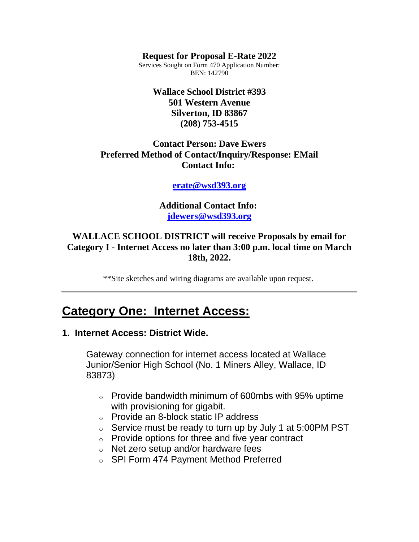#### **Request for Proposal E-Rate 2022**

Services Sought on Form 470 Application Number: BEN: 142790

### **Wallace School District #393 501 Western Avenue Silverton, ID 83867 (208) 753-4515**

### **Contact Person: Dave Ewers Preferred Method of Contact/Inquiry/Response: EMail Contact Info:**

#### **[erate@wsd393.org](mailto:erate@wsd393.org)**

**Additional Contact Info: [jdewers@wsd393.org](mailto:jdewers@wsd393.org)**

### **WALLACE SCHOOL DISTRICT will receive Proposals by email for Category I - Internet Access no later than 3:00 p.m. local time on March 18th, 2022.**

\*\*Site sketches and wiring diagrams are available upon request.

## **Category One: Internet Access:**

### **1. Internet Access: District Wide.**

Gateway connection for internet access located at Wallace Junior/Senior High School (No. 1 Miners Alley, Wallace, ID 83873)

- o Provide bandwidth minimum of 600mbs with 95% uptime with provisioning for gigabit.
- o Provide an 8-block static IP address
- $\circ$  Service must be ready to turn up by July 1 at 5:00PM PST
- o Provide options for three and five year contract
- o Net zero setup and/or hardware fees
- o SPI Form 474 Payment Method Preferred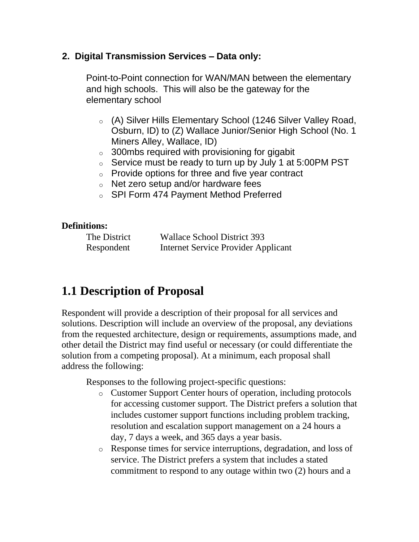## **2. Digital Transmission Services – Data only:**

Point-to-Point connection for WAN/MAN between the elementary and high schools. This will also be the gateway for the elementary school

- o (A) Silver Hills Elementary School (1246 Silver Valley Road, Osburn, ID) to (Z) Wallace Junior/Senior High School (No. 1 Miners Alley, Wallace, ID)
- $\circ$  300mbs required with provisioning for gigabit
- $\circ$  Service must be ready to turn up by July 1 at 5:00PM PST
- $\circ$  Provide options for three and five year contract
- o Net zero setup and/or hardware fees
- o SPI Form 474 Payment Method Preferred

### **Definitions:**

| The District | <b>Wallace School District 393</b>         |
|--------------|--------------------------------------------|
| Respondent   | <b>Internet Service Provider Applicant</b> |

## **1.1 Description of Proposal**

Respondent will provide a description of their proposal for all services and solutions. Description will include an overview of the proposal, any deviations from the requested architecture, design or requirements, assumptions made, and other detail the District may find useful or necessary (or could differentiate the solution from a competing proposal). At a minimum, each proposal shall address the following:

Responses to the following project-specific questions:

- o Customer Support Center hours of operation, including protocols for accessing customer support. The District prefers a solution that includes customer support functions including problem tracking, resolution and escalation support management on a 24 hours a day, 7 days a week, and 365 days a year basis.
- o Response times for service interruptions, degradation, and loss of service. The District prefers a system that includes a stated commitment to respond to any outage within two (2) hours and a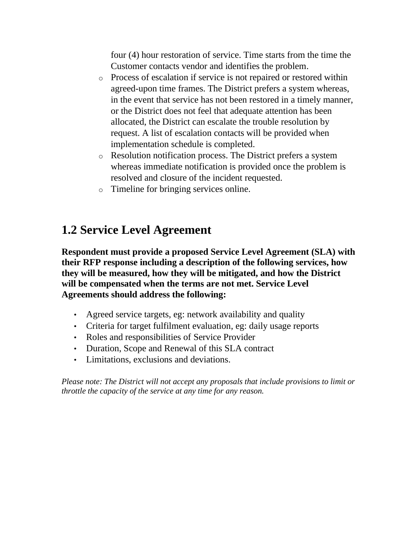four (4) hour restoration of service. Time starts from the time the Customer contacts vendor and identifies the problem.

- o Process of escalation if service is not repaired or restored within agreed-upon time frames. The District prefers a system whereas, in the event that service has not been restored in a timely manner, or the District does not feel that adequate attention has been allocated, the District can escalate the trouble resolution by request. A list of escalation contacts will be provided when implementation schedule is completed.
- o Resolution notification process. The District prefers a system whereas immediate notification is provided once the problem is resolved and closure of the incident requested.
- o Timeline for bringing services online.

## **1.2 Service Level Agreement**

**Respondent must provide a proposed Service Level Agreement (SLA) with their RFP response including a description of the following services, how they will be measured, how they will be mitigated, and how the District will be compensated when the terms are not met. Service Level Agreements should address the following:** 

- Agreed service targets, eg: network availability and quality
- Criteria for target fulfilment evaluation, eg: daily usage reports
- Roles and responsibilities of Service Provider
- Duration, Scope and Renewal of this SLA contract
- Limitations, exclusions and deviations.

*Please note: The District will not accept any proposals that include provisions to limit or throttle the capacity of the service at any time for any reason.*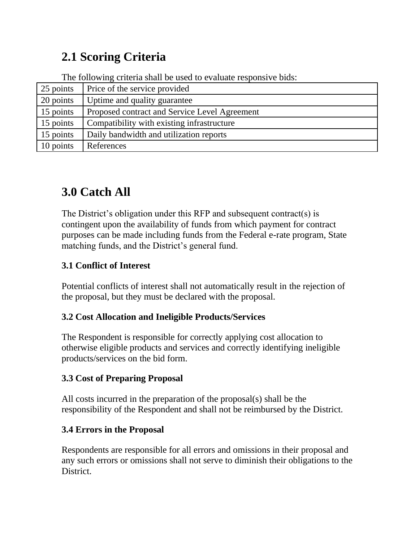# **2.1 Scoring Criteria**

The following criteria shall be used to evaluate responsive bids:

| 25 points | Price of the service provided                 |
|-----------|-----------------------------------------------|
| 20 points | Uptime and quality guarantee                  |
| 15 points | Proposed contract and Service Level Agreement |
| 15 points | Compatibility with existing infrastructure    |
| 15 points | Daily bandwidth and utilization reports       |
| 10 points | References                                    |

# **3.0 Catch All**

The District's obligation under this RFP and subsequent contract(s) is contingent upon the availability of funds from which payment for contract purposes can be made including funds from the Federal e-rate program, State matching funds, and the District's general fund.

## **3.1 Conflict of Interest**

Potential conflicts of interest shall not automatically result in the rejection of the proposal, but they must be declared with the proposal.

## **3.2 Cost Allocation and Ineligible Products/Services**

The Respondent is responsible for correctly applying cost allocation to otherwise eligible products and services and correctly identifying ineligible products/services on the bid form.

## **3.3 Cost of Preparing Proposal**

All costs incurred in the preparation of the proposal(s) shall be the responsibility of the Respondent and shall not be reimbursed by the District.

## **3.4 Errors in the Proposal**

Respondents are responsible for all errors and omissions in their proposal and any such errors or omissions shall not serve to diminish their obligations to the District.